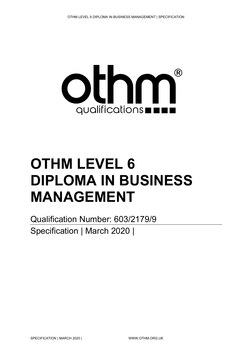

# **OTHM LEVEL 6 DIPLOMA IN BUSINESS MANAGEMENT**

Qualification Number: 603/2179/9 Specification | March 2020 |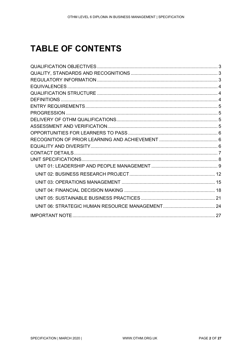# **TABLE OF CONTENTS**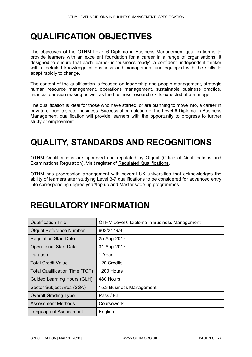# <span id="page-2-0"></span>**QUALIFICATION OBJECTIVES**

The objectives of the OTHM Level 6 Diploma in Business Management qualification is to provide learners with an excellent foundation for a career in a range of organisations. It designed to ensure that each learner is 'business ready': a confident, independent thinker with a detailed knowledge of business and management and equipped with the skills to adapt rapidly to change.

The content of the qualification is focused on leadership and people management, strategic human resource management, operations management, sustainable business practice, financial decision making as well as the business research skills expected of a manager.

The qualification is ideal for those who have started, or are planning to move into, a career in private or public sector business. Successful completion of the Level 6 Diploma in Business Management qualification will provide learners with the opportunity to progress to further study or employment.

# <span id="page-2-1"></span>**QUALITY, STANDARDS AND RECOGNITIONS**

OTHM Qualifications are approved and regulated by Ofqual (Office of Qualifications and Examinations Regulation). Visit register of [Regulated Qualifications.](http://register.ofqual.gov.uk/)

OTHM has progression arrangement with several UK universities that acknowledges the ability of learners after studying Level 3-7 qualifications to be considered for advanced entry into corresponding degree year/top up and Master's/top-up programmes.

# <span id="page-2-2"></span>**REGULATORY INFORMATION**

| <b>Qualification Title</b>     | OTHM Level 6 Diploma in Business Management |  |  |
|--------------------------------|---------------------------------------------|--|--|
| <b>Ofqual Reference Number</b> | 603/2179/9                                  |  |  |
| <b>Regulation Start Date</b>   | 25-Aug-2017                                 |  |  |
| <b>Operational Start Date</b>  | 31-Aug-2017                                 |  |  |
| Duration                       | 1 Year                                      |  |  |
| <b>Total Credit Value</b>      | 120 Credits                                 |  |  |
| Total Qualification Time (TQT) | 1200 Hours                                  |  |  |
| Guided Learning Hours (GLH)    | 480 Hours                                   |  |  |
| Sector Subject Area (SSA)      | 15.3 Business Management                    |  |  |
| <b>Overall Grading Type</b>    | Pass / Fail                                 |  |  |
| <b>Assessment Methods</b>      | Coursework                                  |  |  |
| Language of Assessment         | English                                     |  |  |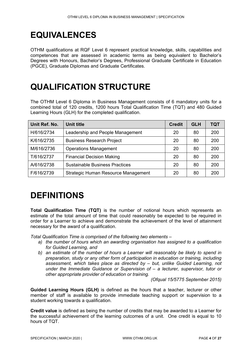# <span id="page-3-0"></span>**EQUIVALENCES**

OTHM qualifications at RQF Level 6 represent practical knowledge, skills, capabilities and competences that are assessed in academic terms as being equivalent to Bachelor's Degrees with Honours, Bachelor's Degrees, Professional Graduate Certificate in Education (PGCE), Graduate Diplomas and Graduate Certificates.

# <span id="page-3-1"></span>**QUALIFICATION STRUCTURE**

The OTHM Level 6 Diploma in Business Management consists of 6 mandatory units for a combined total of 120 credits, 1200 hours Total Qualification Time (TQT) and 480 Guided Learning Hours (GLH) for the completed qualification.

| Unit Ref. No. | Unit title                            | <b>Credit</b> | <b>GLH</b> | TQT |
|---------------|---------------------------------------|---------------|------------|-----|
| H/616/2734    | Leadership and People Management      | 20            | 80         | 200 |
| K/616/2735    | <b>Business Research Project</b>      | 20            | 80         | 200 |
| M/616/2736    | <b>Operations Management</b>          | 20            | 80         | 200 |
| T/616/2737    | <b>Financial Decision Making</b>      |               | 80         | 200 |
| A/616/2738    | <b>Sustainable Business Practices</b> | 20            | 80         | 200 |
| F/616/2739    | Strategic Human Resource Management   | 20            | 80         | 200 |

### <span id="page-3-2"></span>**DEFINITIONS**

**Total Qualification Time (TQT)** is the number of notional hours which represents an estimate of the total amount of time that could reasonably be expected to be required in order for a Learner to achieve and demonstrate the achievement of the level of attainment necessary for the award of a qualification.

*Total Qualification Time is comprised of the following two elements –*

- *a) the number of hours which an awarding organisation has assigned to a qualification for Guided Learning, and*
- *b) an estimate of the number of hours a Learner will reasonably be likely to spend in preparation, study or any other form of participation in education or training, including assessment, which takes place as directed by – but, unlike Guided Learning, not under the Immediate Guidance or Supervision of – a lecturer, supervisor, tutor or other appropriate provider of education or training.*

*(Ofqual 15/5775 September 2015)*

**Guided Learning Hours (GLH)** is defined as the hours that a teacher, lecturer or other member of staff is available to provide immediate teaching support or supervision to a student working towards a qualification.

**Credit value** is defined as being the number of credits that may be awarded to a Learner for the successful achievement of the learning outcomes of a unit. One credit is equal to 10 hours of TQT.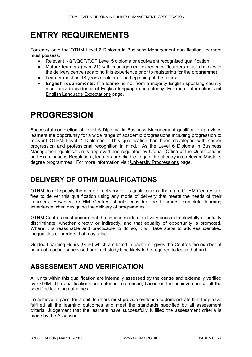### <span id="page-4-0"></span>**ENTRY REQUIREMENTS**

For entry onto the OTHM Level 6 Diploma in Business Management qualification, learners must possess:

- Relevant NQF/QCF/RQF Level 5 diploma or equivalent recognised qualification
- Mature learners (over 21) with management experience (learners must check with the delivery centre regarding this experience prior to registering for the programme)
- Learner must be 18 years or older at the beginning of the course
- **English requirements:** If a learner is not from a majority English-speaking country must provide evidence of English language competency. For more information visit [English Language Expectations](http://othm.org.uk/english-language.html) page.

### <span id="page-4-1"></span>**PROGRESSION**

Successful completion of Level 6 Diploma in Business Management qualification provides learners the opportunity for a wide range of academic progressions including progression to relevant OTHM Level 7 Diplomas. This qualification has been developed with career progression and professional recognition in mind. As the Level 6 Diploma in Business Management qualification is approved and regulated by Ofqual (Office of the Qualifications and Examinations Regulation), learners are eligible to gain direct entry into relevant Master's degree programmes. For more information visit [University Progressions](http://othm.org.uk/university-progression.html) page.

### <span id="page-4-2"></span>**DELIVERY OF OTHM QUALIFICATIONS**

OTHM do not specify the mode of delivery for its qualifications, therefore OTHM Centres are free to deliver this qualification using any mode of delivery that meets the needs of their Learners. However, OTHM Centres should consider the Learners' complete learning experience when designing the delivery of programmes.

OTHM Centres must ensure that the chosen mode of delivery does not unlawfully or unfairly discriminate, whether directly or indirectly, and that equality of opportunity is promoted. Where it is reasonable and practicable to do so, it will take steps to address identified inequalities or barriers that may arise.

Guided Learning Hours (GLH) which are listed in each unit gives the Centres the number of hours of teacher-supervised or direct study time likely to be required to teach that unit.

### <span id="page-4-3"></span>**ASSESSMENT AND VERIFICATION**

All units within this qualification are internally assessed by the centre and externally verified by OTHM. The qualifications are criterion referenced, based on the achievement of all the specified learning outcomes.

To achieve a 'pass' for a unit, learners must provide evidence to demonstrate that they have fulfilled all the learning outcomes and meet the standards specified by all assessment criteria. Judgement that the learners have successfully fulfilled the assessment criteria is made by the Assessor.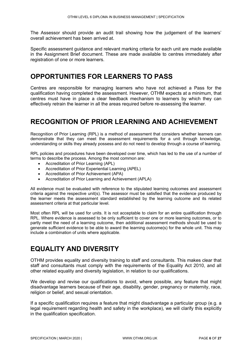The Assessor should provide an audit trail showing how the judgement of the learners' overall achievement has been arrived at.

Specific assessment guidance and relevant marking criteria for each unit are made available in the Assignment Brief document. These are made available to centres immediately after registration of one or more learners.

### <span id="page-5-0"></span>**OPPORTUNITIES FOR LEARNERS TO PASS**

Centres are responsible for managing learners who have not achieved a Pass for the qualification having completed the assessment. However, OTHM expects at a minimum, that centres must have in place a clear feedback mechanism to learners by which they can effectively retrain the learner in all the areas required before re-assessing the learner.

### <span id="page-5-1"></span>**RECOGNITION OF PRIOR LEARNING AND ACHIEVEMENT**

Recognition of Prior Learning (RPL) is a method of assessment that considers whether learners can demonstrate that they can meet the assessment requirements for a unit through knowledge, understanding or skills they already possess and do not need to develop through a course of learning.

RPL policies and procedures have been developed over time, which has led to the use of a number of terms to describe the process. Among the most common are:

- Accreditation of Prior Learning (APL)
- Accreditation of Prior Experiential Learning (APEL)
- Accreditation of Prior Achievement (APA)
- Accreditation of Prior Learning and Achievement (APLA)

All evidence must be evaluated with reference to the stipulated learning outcomes and assessment criteria against the respective unit(s). The assessor must be satisfied that the evidence produced by the learner meets the assessment standard established by the learning outcome and its related assessment criteria at that particular level.

Most often RPL will be used for units. It is not acceptable to claim for an entire qualification through RPL. Where evidence is assessed to be only sufficient to cover one or more learning outcomes, or to partly meet the need of a learning outcome, then additional assessment methods should be used to generate sufficient evidence to be able to award the learning outcome(s) for the whole unit. This may include a combination of units where applicable.

### <span id="page-5-2"></span>**EQUALITY AND DIVERSITY**

OTHM provides equality and diversity training to staff and consultants. This makes clear that staff and consultants must comply with the requirements of the Equality Act 2010, and all other related equality and diversity legislation, in relation to our qualifications.

We develop and revise our qualifications to avoid, where possible, any feature that might disadvantage learners because of their age, disability, gender, pregnancy or maternity, race, religion or belief, and sexual orientation.

If a specific qualification requires a feature that might disadvantage a particular group (e.g. a legal requirement regarding health and safety in the workplace), we will clarify this explicitly in the qualification specification.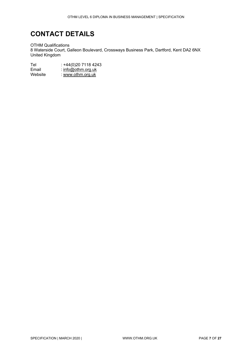### <span id="page-6-0"></span>**CONTACT DETAILS**

OTHM Qualifications 8 Waterside Court, Galleon Boulevard, Crossways Business Park, Dartford, Kent DA2 6NX United Kingdom

Tel : +44(0)20 7118 4243<br>
Email : info@othm.org.uk Email : [info@othm.org.uk](mailto:info@othm.org.uk)<br>
Website : www.othm.org.uk : [www.othm.org.uk](http://www.othm.org.uk/)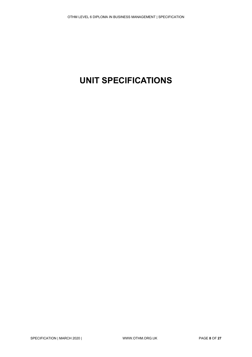# <span id="page-7-0"></span>**UNIT SPECIFICATIONS**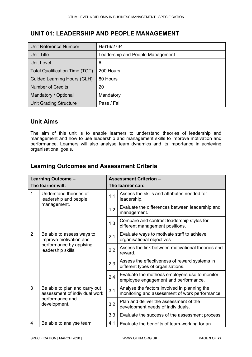#### <span id="page-8-0"></span>**UNIT 01: LEADERSHIP AND PEOPLE MANAGEMENT**

| Unit Reference Number                 | H/616/2734                       |
|---------------------------------------|----------------------------------|
| Unit Title                            | Leadership and People Management |
| Unit Level                            | 6                                |
| <b>Total Qualification Time (TQT)</b> | 200 Hours                        |
| Guided Learning Hours (GLH)           | 80 Hours                         |
| <b>Number of Credits</b>              | 20                               |
| Mandatory / Optional                  | Mandatory                        |
| <b>Unit Grading Structure</b>         | Pass / Fail                      |

#### **Unit Aims**

The aim of this unit is to enable learners to understand theories of leadership and management and how to use leadership and management skills to improve motivation and performance. Learners will also analyse team dynamics and its importance in achieving organisational goals.

|                                               | Learning Outcome -<br>The learner will:                        |                                                                               | <b>Assessment Criterion -</b>                                                                  |  |
|-----------------------------------------------|----------------------------------------------------------------|-------------------------------------------------------------------------------|------------------------------------------------------------------------------------------------|--|
|                                               |                                                                | The learner can:                                                              |                                                                                                |  |
| 1                                             | Understand theories of<br>leadership and people                | 1.1                                                                           | Assess the skills and attributes needed for<br>leadership.                                     |  |
|                                               | management.                                                    | 1.2                                                                           | Evaluate the differences between leadership and<br>management.                                 |  |
|                                               | 1.3                                                            | Compare and contrast leadership styles for<br>different management positions. |                                                                                                |  |
| $\overline{2}$                                | Be able to assess ways to<br>improve motivation and            | 2.1                                                                           | Evaluate ways to motivate staff to achieve<br>organisational objectives.                       |  |
| performance by applying<br>leadership skills. |                                                                | 2.2                                                                           | Assess the link between motivational theories and<br>reward.                                   |  |
|                                               |                                                                | 2.3                                                                           | Assess the effectiveness of reward systems in<br>different types of organisations.             |  |
|                                               |                                                                | 2.4                                                                           | Evaluate the methods employers use to monitor<br>employee engagement and performance.          |  |
| 3<br>performance and<br>development.          | Be able to plan and carry out<br>assessment of individual work | 3.1                                                                           | Analyse the factors involved in planning the<br>monitoring and assessment of work performance. |  |
|                                               |                                                                | 3.2                                                                           | Plan and deliver the assessment of the<br>development needs of individuals.                    |  |
|                                               |                                                                | 3.3                                                                           | Evaluate the success of the assessment process.                                                |  |
| 4                                             | Be able to analyse team                                        | 4.1                                                                           | Evaluate the benefits of team-working for an                                                   |  |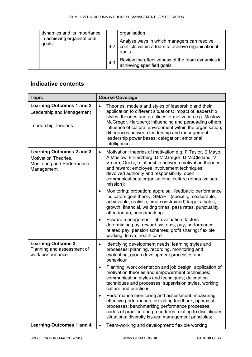| dynamics and its importance           |     | organisation.                                                                                             |
|---------------------------------------|-----|-----------------------------------------------------------------------------------------------------------|
| in achieving organisational<br>goals. | 4.2 | Analyse ways in which managers can resolve<br>conflicts within a team to achieve organisational<br>goals. |
|                                       | 4.3 | Review the effectiveness of the team dynamics in<br>achieving specified goals.                            |

| <b>Topic</b>                                                                                         | <b>Course Coverage</b>                                                                                                                                                                                                                                                                                                                                                                                                                 |  |  |
|------------------------------------------------------------------------------------------------------|----------------------------------------------------------------------------------------------------------------------------------------------------------------------------------------------------------------------------------------------------------------------------------------------------------------------------------------------------------------------------------------------------------------------------------------|--|--|
| <b>Learning Outcomes 1 and 2</b><br>Leadership and Management<br><b>Leadership Theories</b>          | Theories, models and styles of leadership and their<br>$\bullet$<br>application to different situations: impact of leadership<br>styles; theories and practices of motivation e.g. Maslow,<br>McGregor, Herzberg; influencing and persuading others;<br>influence of cultural environment within the organisation;<br>differences between leadership and management;<br>leadership power bases; delegation; emotional<br>intelligence. |  |  |
| <b>Learning Outcomes 2 and 3</b><br>Motivation Theories,<br>Monitoring and Performance<br>Management | Motivation: theories of motivation e.g. F Taylor, E Mayo,<br>$\bullet$<br>A Maslow, F Herzberg, D McGregor, D McClelland, V<br>Vroom; Ouchi, relationship between motivation theories<br>and reward; employee involvement techniques;<br>devolved authority and responsibility; open<br>communications; organisational culture (ethos, values,<br>mission);                                                                            |  |  |
|                                                                                                      | Monitoring: probation; appraisal, feedback; performance<br>$\bullet$<br>indicators goal theory; SMART (specific, measurable,<br>achievable, realistic, time-constrained) targets (sales,<br>growth, financial, waiting times, pass rates, punctuality,<br>attendance); benchmarking                                                                                                                                                    |  |  |
|                                                                                                      | Reward management: job evaluation; factors<br>$\bullet$<br>determining pay, reward systems; pay; performance-<br>related pay; pension schemes; profit sharing; flexible<br>working; leave; health care                                                                                                                                                                                                                                 |  |  |
| <b>Learning Outcome 3</b><br>Planning and assessment of<br>work performance                          | Identifying development needs: learning styles and<br>٠<br>processes; planning, recording, monitoring and<br>evaluating; group development processes and<br>behaviour                                                                                                                                                                                                                                                                  |  |  |
|                                                                                                      | Planning, work orientation and job design: application of<br>٠<br>motivation theories and empowerment techniques;<br>communication styles and techniques; delegation<br>techniques and processes; supervision styles, working<br>culture and practices                                                                                                                                                                                 |  |  |
|                                                                                                      | Performance monitoring and assessment: measuring<br>$\bullet$<br>effective performance; providing feedback; appraisal<br>processes; benchmarking performance processes;<br>codes of practice and procedures relating to disciplinary<br>situations; diversity issues; management principles;                                                                                                                                           |  |  |
| <b>Learning Outcomes 1 and 4</b>                                                                     | Team-working and development: flexible working                                                                                                                                                                                                                                                                                                                                                                                         |  |  |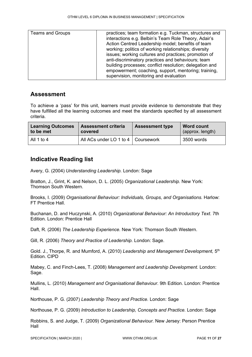| <b>Teams and Groups</b> | practices; team formation e.g. Tuckman, structures and<br>interactions e.g. Belbin's Team Role Theory, Adair's<br>Action Centred Leadership model; benefits of team<br>working; politics of working relationships; diversity<br>issues; working cultures and practices; promotion of<br>anti-discriminatory practices and behaviours; team<br>building processes; conflict resolution; delegation and<br>empowerment; coaching, support, mentoring; training,<br>supervision, monitoring and evaluation |
|-------------------------|---------------------------------------------------------------------------------------------------------------------------------------------------------------------------------------------------------------------------------------------------------------------------------------------------------------------------------------------------------------------------------------------------------------------------------------------------------------------------------------------------------|
|-------------------------|---------------------------------------------------------------------------------------------------------------------------------------------------------------------------------------------------------------------------------------------------------------------------------------------------------------------------------------------------------------------------------------------------------------------------------------------------------------------------------------------------------|

#### **Assessment**

To achieve a 'pass' for this unit, learners must provide evidence to demonstrate that they have fulfilled all the learning outcomes and meet the standards specified by all assessment criteria.

| <b>Learning Outcomes</b> | <b>Assessment criteria</b>           | <b>Assessment type</b> | Word count       |
|--------------------------|--------------------------------------|------------------------|------------------|
| to be met                | covered                              |                        | (approx. length) |
| All 1 to 4               | All ACs under LO 1 to 4   Coursework |                        | 3500 words       |

#### **Indicative Reading list**

Avery, G. (2004) *Understanding Leadership.* London: Sage

Bratton, J., Grint, K. and Nelson, D. L. (2005) *Organizational Leadership.* New York: Thomson South Western.

Brooks, I. (2009) *Organisational Behaviour: Individuals, Groups, and Organisations.* Harlow: FT Prentice Hall.

Buchanan, D. and Huczynski, A. (2010) *Organizational Behaviour: An Introductory Text*. 7th Edition. London: Prentice Hall

Daft, R. (2006) *The Leadership Experience.* New York: Thomson South Western.

Gill, R. (2006) *Theory and Practice of Leadership.* London: Sage.

Gold. J., Thorpe, R. and Mumford, A. (2010) *Leadership and Management Development,* 5th Edition. CIPD

Mabey, C. and Finch-Lees, T. (2008) *Management and Leadership Development.* London: Sage.

Mullins, L. (2010) *Management and Organisational Behaviour*. 9th Edition. London: Prentice Hall.

Northouse, P. G. (2007) *Leadership Theory and Practice.* London: Sage

Northouse, P. G. (2009) *Introduction to Leadership, Concepts and Practice.* London: Sage

Robbins, S. and Judge, T. (2009) *Organizational Behaviour.* New Jersey: Person Prentice Hall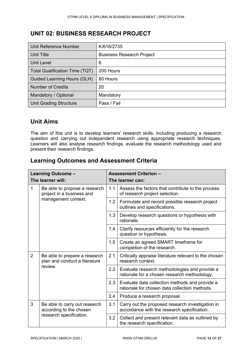#### <span id="page-11-0"></span>**UNIT 02: BUSINESS RESEARCH PROJECT**

| Unit Reference Number                 | K/616/2735                       |  |  |
|---------------------------------------|----------------------------------|--|--|
| Unit Title                            | <b>Business Research Project</b> |  |  |
| <b>Unit Level</b>                     | 6                                |  |  |
| <b>Total Qualification Time (TQT)</b> | 200 Hours                        |  |  |
| <b>Guided Learning Hours (GLH)</b>    | 80 Hours                         |  |  |
| <b>Number of Credits</b>              | 20                               |  |  |
| Mandatory / Optional                  | Mandatory                        |  |  |
| <b>Unit Grading Structure</b>         | Pass / Fail                      |  |  |

#### **Unit Aims**

The aim of this unit is to develop learners' research skills, including producing a research question and carrying out independent research using appropriate research techniques. Learners will also analyse research findings, evaluate the research methodology used and present their research findings.

| Learning Outcome -                                                                       |                                                                           | <b>Assessment Criterion -</b>                                                   |                                                                                                 |  |
|------------------------------------------------------------------------------------------|---------------------------------------------------------------------------|---------------------------------------------------------------------------------|-------------------------------------------------------------------------------------------------|--|
| The learner will:                                                                        |                                                                           | The learner can:                                                                |                                                                                                 |  |
| 1                                                                                        | Be able to propose a research<br>project in a business and                | 1.1                                                                             | Assess the factors that contribute to the process<br>of research project selection.             |  |
|                                                                                          | management context.                                                       | 1.2                                                                             | Formulate and record possible research project<br>outlines and specifications.                  |  |
|                                                                                          | 1.3                                                                       | Develop research questions or hypothesis with<br>rationale.                     |                                                                                                 |  |
|                                                                                          |                                                                           | 1.4                                                                             | Clarify resources efficiently for the research<br>question or hypothesis.                       |  |
|                                                                                          |                                                                           | 1.5                                                                             | Create an agreed SMART timeframe for<br>completion of the research.                             |  |
| $\overline{2}$                                                                           | Be able to prepare a research<br>plan and conduct a literature<br>review. | 2.1                                                                             | Critically appraise literature relevant to the chosen<br>research context.                      |  |
|                                                                                          |                                                                           | 2.2                                                                             | Evaluate research methodologies and provide a<br>rationale for a chosen research methodology.   |  |
|                                                                                          |                                                                           | 2.3                                                                             | Evaluate data collection methods and provide a<br>rationale for chosen data collection methods. |  |
|                                                                                          |                                                                           | 2.4                                                                             | Produce a research proposal.                                                                    |  |
| 3<br>Be able to carry out research<br>according to the chosen<br>research specification. |                                                                           | 3.1                                                                             | Carry out the proposed research investigation in<br>accordance with the research specification. |  |
|                                                                                          | 3.2                                                                       | Collect and present relevant data as outlined by<br>the research specification. |                                                                                                 |  |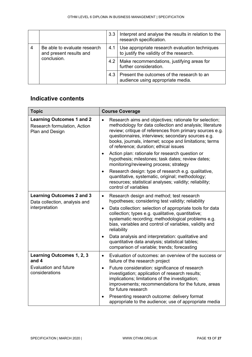|   |                                                                        | 3.3 | Interpret and analyse the results in relation to the<br>research specification.            |
|---|------------------------------------------------------------------------|-----|--------------------------------------------------------------------------------------------|
| 4 | Be able to evaluate research<br>and present results and<br>conclusion. | 4.1 | Use appropriate research evaluation techniques<br>to justify the validity of the research. |
|   |                                                                        |     | 4.2   Make recommendations, justifying areas for<br>further consideration.                 |
|   |                                                                        | 4.3 | Present the outcomes of the research to an<br>audience using appropriate media.            |

| <b>Topic</b>                                                                        | <b>Course Coverage</b>                                                                                                                                                                                                                                                                                                                                 |
|-------------------------------------------------------------------------------------|--------------------------------------------------------------------------------------------------------------------------------------------------------------------------------------------------------------------------------------------------------------------------------------------------------------------------------------------------------|
| <b>Learning Outcomes 1 and 2</b><br>Research formulation, Action<br>Plan and Design | Research aims and objectives; rationale for selection;<br>$\bullet$<br>methodology for data collection and analysis; literature<br>review; critique of references from primary sources e.g.<br>questionnaires, interviews; secondary sources e.g.<br>books, journals, internet; scope and limitations; terms<br>of reference; duration; ethical issues |
|                                                                                     | Action plan: rationale for research question or<br>$\bullet$<br>hypothesis; milestones; task dates; review dates;<br>monitoring/reviewing process; strategy                                                                                                                                                                                            |
|                                                                                     | Research design: type of research e.g. qualitative,<br>$\bullet$<br>quantitative, systematic, original; methodology;<br>resources; statistical analyses; validity; reliability;<br>control of variables                                                                                                                                                |
| <b>Learning Outcomes 2 and 3</b><br>Data collection, analysis and                   | Research design and method; test research<br>$\bullet$<br>hypotheses; considering test validity; reliability                                                                                                                                                                                                                                           |
| interpretation                                                                      | Data collection: selection of appropriate tools for data<br>$\bullet$<br>collection; types e.g. qualitative, quantitative;<br>systematic recording; methodological problems e.g.<br>bias, variables and control of variables, validity and<br>reliability                                                                                              |
|                                                                                     | Data analysis and interpretation: qualitative and<br>$\bullet$<br>quantitative data analysis; statistical tables;<br>comparison of variable; trends; forecasting                                                                                                                                                                                       |
| Learning Outcomes 1, 2, 3<br>and 4                                                  | Evaluation of outcomes: an overview of the success or<br>$\bullet$<br>failure of the research project                                                                                                                                                                                                                                                  |
| <b>Evaluation and future</b><br>considerations                                      | Future consideration: significance of research<br>$\bullet$<br>investigation; application of research results;<br>implications; limitations of the investigation;<br>improvements; recommendations for the future, areas<br>for future research                                                                                                        |
|                                                                                     | Presenting research outcome: delivery format<br>appropriate to the audience; use of appropriate media                                                                                                                                                                                                                                                  |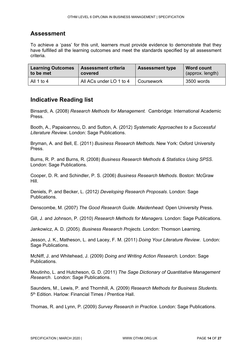#### **Assessment**

To achieve a 'pass' for this unit, learners must provide evidence to demonstrate that they have fulfilled all the learning outcomes and meet the standards specified by all assessment criteria.

| <b>Learning Outcomes</b> | <b>Assessment criteria</b> | <b>Assessment type</b> | <b>Word count</b> |
|--------------------------|----------------------------|------------------------|-------------------|
| to be met                | covered                    |                        | (approx. length)  |
| All 1 to 4               | All ACs under LO 1 to 4    | Coursework             | 3500 words        |

#### **Indicative Reading list**

Binsardi, A. (2008) *Research Methods for Management.* Cambridge: International Academic Press.

Booth, A., Papaioannou, D. and Sutton, A. (2012) *Systematic Approaches to a Successful Literature Review*. London: Sage Publications.

Bryman, A. and Bell, E. (2011) *Business Research Methods.* New York: Oxford University Press.

Burns, R. P. and Burns, R. (2008) *Business Research Methods & Statistics Using SPSS*. London: Sage Publications.

Cooper, D. R. and Schindler, P. S. (2006) *Business Research Methods*. Boston: McGraw Hill.

Deniels, P. and Becker, L. (2012*) Developing Research Proposals*. London: Sage Publications.

Denscombe, M. (2007) *The Good Research Guide. Maidenhead:* Open University Press.

Gill, J. and Johnson, P. (2010) *Research Methods for Managers*. London: Sage Publications.

Jankowicz, A. D. (2005). *Business Research Projects*. London: Thomson Learning.

Jesson, J. K., Matheson, L. and Lacey, F. M. (2011) *Doing Your Literature Review*. London: Sage Publications.

McNiff, J. and Whitehead, J. (2009) *Doing and Writing Action Research.* London: Sage Publications.

Moutinho, L. and Hutcheson, G. D. (2011) *The Sage Dictionary of Quantitative Management Research*. London: Sage Publications.

Saunders, M., Lewis, P. and Thornhill, A. (2009) *Research Methods for Business Students.*  5th Edition. Harlow: Financial Times / Prentice Hall.

Thomas, R. and Lynn, P. (2009) *Survey Research in Practice*. London: Sage Publications.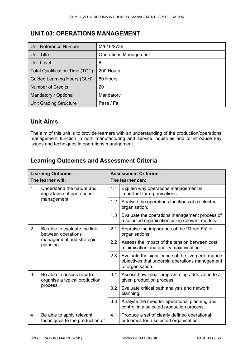#### <span id="page-14-0"></span>**UNIT 03: OPERATIONS MANAGEMENT**

| Unit Reference Number                 | M/616/2736                   |
|---------------------------------------|------------------------------|
| Unit Title                            | <b>Operations Management</b> |
| Unit Level                            | 6                            |
| <b>Total Qualification Time (TQT)</b> | 200 Hours                    |
| Guided Learning Hours (GLH)           | 80 Hours                     |
| <b>Number of Credits</b>              | 20                           |
| Mandatory / Optional                  | Mandatory                    |
| <b>Unit Grading Structure</b>         | Pass / Fail                  |

#### **Unit Aims**

The aim of this unit is to provide learners with an understanding of the production/operations management function in both manufacturing and service industries and to introduce key issues and techniques in operations management.

|                | Learning Outcome -<br>The learner will:                                                     |     | <b>Assessment Criterion -</b><br>The learner can:                                                                       |
|----------------|---------------------------------------------------------------------------------------------|-----|-------------------------------------------------------------------------------------------------------------------------|
| 1              | Understand the nature and<br>importance of operations                                       | 1.1 | Explain why operations management is<br>important for organisations.                                                    |
|                | management.                                                                                 | 1.2 | Analyse the operations functions of a selected<br>organisation.                                                         |
|                |                                                                                             | 1.3 | Evaluate the operations management process of<br>a selected organisation using relevant models.                         |
| $\overline{2}$ | Be able to evaluate the link<br>between operations<br>management and strategic<br>planning. | 2.1 | Appraise the importance of the 'Three Es' to<br>organisations.                                                          |
|                |                                                                                             | 2.2 | Assess the impact of the tension between cost<br>minimisation and quality maximisation.                                 |
|                |                                                                                             | 2.3 | Evaluate the significance of the five performance<br>objectives that underpin operations management<br>to organisation. |
| 3              | Be able to assess how to<br>organise a typical production<br>process.                       | 3.1 | Assess how linear programming adds value to a<br>given production process.                                              |
|                |                                                                                             | 3.2 | Evaluate critical path analysis and network<br>planning.                                                                |
|                |                                                                                             | 3.3 | Analyse the need for operational planning and<br>control in a selected production process.                              |
| $\overline{4}$ | Be able to apply relevant<br>techniques to the production of                                | 4.1 | Produce a set of clearly defined operational<br>outcomes for a selected organisation.                                   |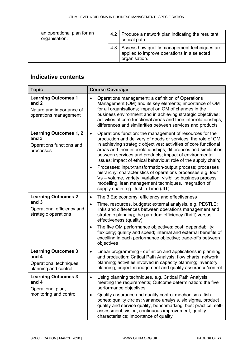| an operational plan for an<br>organisation. |     | 4.2   Produce a network plan indicating the resultant<br>critical path.                                      |
|---------------------------------------------|-----|--------------------------------------------------------------------------------------------------------------|
|                                             | 4.3 | Assess how quality management techniques are<br>applied to improve operations in a selected<br>organisation. |

| <b>Topic</b>                                                                              | <b>Course Coverage</b>                                                                                                                                                                                                                                                                                                                                                                                                                                                                                                                                                                                                                                                                                    |  |  |  |
|-------------------------------------------------------------------------------------------|-----------------------------------------------------------------------------------------------------------------------------------------------------------------------------------------------------------------------------------------------------------------------------------------------------------------------------------------------------------------------------------------------------------------------------------------------------------------------------------------------------------------------------------------------------------------------------------------------------------------------------------------------------------------------------------------------------------|--|--|--|
| <b>Learning Outcomes 1</b><br>and 2<br>Nature and importance of<br>operations management  | Operations management: a definition of Operations<br>$\bullet$<br>Management (OM) and its key elements; importance of OM<br>for all organisations; impact on OM of changes in the<br>business environment and in achieving strategic objectives;<br>activities of core functional areas and their interrelationships;<br>differences and similarities between services and products                                                                                                                                                                                                                                                                                                                       |  |  |  |
| <b>Learning Outcomes 1, 2</b><br>and 3<br>Operations functions and<br>processes           | Operations function: the management of resources for the<br>$\bullet$<br>production and delivery of goods or services; the role of OM<br>in achieving strategic objectives; activities of core functional<br>areas and their interrelationships; differences and similarities<br>between services and products; impact of environmental<br>issues; impact of ethical behaviour; role of the supply chain;<br>Processes: input-transformation-output process; processes<br>hierarchy; characteristics of operations processes e.g. four<br>Vs - volume, variety, variation, visibility; business process<br>modelling, lean management techniques, integration of<br>supply chain e.g. Just in Time (JIT); |  |  |  |
| <b>Learning Outcomes 2</b><br>and 3<br>Operational efficiency and<br>strategic operations | The 3 Es: economy; efficiency and effectiveness<br>$\bullet$<br>Time, resources, budgets; external analysis, e.g. PESTLE;<br>$\bullet$<br>links and differences between operations management and<br>strategic planning; the paradox: efficiency (thrift) versus<br>effectiveness (quality)<br>The five OM performance objectives: cost; dependability;<br>$\bullet$<br>flexibility; quality and speed; internal and external benefits of<br>excelling in each performance objective; trade-offs between<br>objectives                                                                                                                                                                                    |  |  |  |
| <b>Learning Outcomes 3</b><br>and 4<br>Operational techniques,<br>planning and control    | Linear programming - definition and applications in planning<br>$\bullet$<br>and production; Critical Path Analysis; flow charts, network<br>planning; activities involved in capacity planning; inventory<br>planning; project management and quality assurance/control                                                                                                                                                                                                                                                                                                                                                                                                                                  |  |  |  |
| <b>Learning Outcomes 3</b><br>and 4<br>Operational plan,<br>monitoring and control        | Using planning techniques, e.g. Critical Path Analysis,<br>meeting the requirements; Outcome determination: the five<br>performance objectives<br>Quality assurance and quality control mechanisms, fish<br>٠<br>bones; quality circles; variance analysis, six sigma, product<br>quality and service quality, benchmarking; best practice; self-<br>assessment; vision; continuous improvement; quality<br>characteristics; importance of quality                                                                                                                                                                                                                                                        |  |  |  |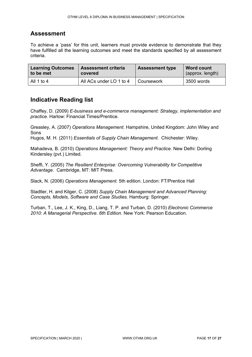#### **Assessment**

To achieve a 'pass' for this unit, learners must provide evidence to demonstrate that they have fulfilled all the learning outcomes and meet the standards specified by all assessment criteria.

| <b>Learning Outcomes</b> | <b>Assessment criteria</b> | <b>Assessment type</b> | <b>Word count</b> |
|--------------------------|----------------------------|------------------------|-------------------|
| to be met                | covered                    |                        | (approx. length)  |
| All 1 to 4               | All ACs under LO 1 to 4    | Coursework             | 3500 words        |

#### **Indicative Reading list**

Chaffey, D. (2009) *E-business and e-commerce management: Strategy, implementation and practice.* Harlow: Financial Times/Prentice.

Greasley, A. (2007) *Operations Management*. Hampshire, United Kingdom: John Wiley and Sons

Hugos, M. H. (2011) *Essentials of Supply Chain Management*. Chichester: Wiley.

Mahadeva, B. (2010) *Operations Management: Theory and Practice.* New Delhi: Dorling Kindersley (pvt.) Limited.

Sheffi, Y. (2005) *The Resilient Enterprise: Overcoming Vulnerability for Competitive Advantage.* Cambridge, MT: MIT Press.

Slack, N. (2006) *Operations Management*. 5th edition. London: FT/Prentice Hall

Stadtler, H. and Kilger, C. (2008) *Supply Chain Management and Advanced Planning: Concepts, Models, Software and Case Studies*. Hamburg: Springer.

Turban, T., Lee, J. K., King, D., Liang, T. P. and Turban, D. (2010) *Electronic Commerce 2010: A Managerial Perspective. 6th Edition*. New York: Pearson Education.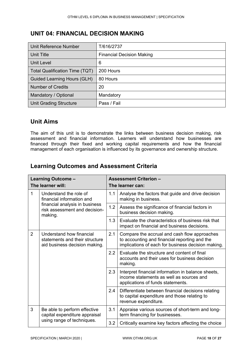#### <span id="page-17-0"></span>**UNIT 04: FINANCIAL DECISION MAKING**

| Unit Reference Number                 | T/616/2737                       |
|---------------------------------------|----------------------------------|
| Unit Title                            | <b>Financial Decision Making</b> |
| <b>Unit Level</b>                     | 6                                |
| <b>Total Qualification Time (TQT)</b> | 200 Hours                        |
| <b>Guided Learning Hours (GLH)</b>    | 80 Hours                         |
| <b>Number of Credits</b>              | 20                               |
| Mandatory / Optional                  | Mandatory                        |
| <b>Unit Grading Structure</b>         | Pass / Fail                      |

#### **Unit Aims**

The aim of this unit is to demonstrate the links between business decision making, risk assessment and financial information. Learners will understand how businesses are financed through their fixed and working capital requirements and how the financial management of each organisation is influenced by its governance and ownership structure.

|                | Learning Outcome -                                                                          |                                                                                                   | <b>Assessment Criterion -</b>                                                                                                                       |
|----------------|---------------------------------------------------------------------------------------------|---------------------------------------------------------------------------------------------------|-----------------------------------------------------------------------------------------------------------------------------------------------------|
|                | The learner will:                                                                           |                                                                                                   | The learner can:                                                                                                                                    |
| 1              | Understand the role of<br>financial information and                                         | 1.1                                                                                               | Analyse the factors that guide and drive decision<br>making in business.                                                                            |
|                | financial analysis in business<br>risk assessment and decision-<br>making.                  | 1.2                                                                                               | Assess the significance of financial factors in<br>business decision making.                                                                        |
|                | 1.3                                                                                         | Evaluate the characteristics of business risk that<br>impact on financial and business decisions. |                                                                                                                                                     |
| $\overline{2}$ | Understand how financial<br>statements and their structure<br>aid business decision making. | 2.1                                                                                               | Compare the accrual and cash flow approaches<br>to accounting and financial reporting and the<br>implications of each for business decision making. |
|                |                                                                                             | 2.2                                                                                               | Evaluate the structure and content of final<br>accounts and their uses for business decision<br>making.                                             |
|                |                                                                                             | 2.3                                                                                               | Interpret financial information in balance sheets,<br>income statements as well as sources and<br>applications of funds statements.                 |
|                |                                                                                             | 2.4                                                                                               | Differentiate between financial decisions relating<br>to capital expenditure and those relating to<br>revenue expenditure.                          |
| 3              | Be able to perform effective<br>capital expenditure appraisal<br>using range of techniques. | 3.1                                                                                               | Appraise various sources of short-term and long-<br>term financing for businesses.                                                                  |
|                |                                                                                             | 3.2                                                                                               | Critically examine key factors affecting the choice                                                                                                 |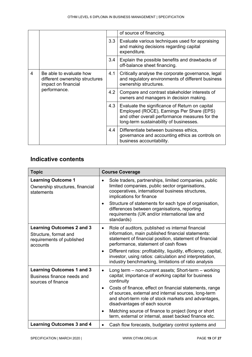|   |                                                                                                  |     | of source of financing.                                                                                                                                                                  |
|---|--------------------------------------------------------------------------------------------------|-----|------------------------------------------------------------------------------------------------------------------------------------------------------------------------------------------|
|   |                                                                                                  | 3.3 | Evaluate various techniques used for appraising<br>and making decisions regarding capital<br>expenditure.                                                                                |
|   |                                                                                                  | 3.4 | Explain the possible benefits and drawbacks of<br>off-balance sheet financing.                                                                                                           |
| 4 | Be able to evaluate how<br>different ownership structures<br>impact on financial<br>performance. | 4.1 | Critically analyse the corporate governance, legal<br>and regulatory environments of different business<br>ownership structures.                                                         |
|   |                                                                                                  | 4.2 | Compare and contrast stakeholder interests of<br>owners and managers in decision making.                                                                                                 |
|   |                                                                                                  | 4.3 | Evaluate the significance of Return on capital<br>Employed (ROCE), Earnings Per Share (EPS)<br>and other overall performance measures for the<br>long-term sustainability of businesses. |
|   |                                                                                                  | 4.4 | Differentiate between business ethics,<br>governance and accounting ethics as controls on<br>business accountability.                                                                    |

| <b>Topic</b>                                                                                       | <b>Course Coverage</b>                                                                                                                                                                                                                                                                                                                                                                                                                                                                       |
|----------------------------------------------------------------------------------------------------|----------------------------------------------------------------------------------------------------------------------------------------------------------------------------------------------------------------------------------------------------------------------------------------------------------------------------------------------------------------------------------------------------------------------------------------------------------------------------------------------|
| <b>Learning Outcome 1</b><br>Ownership structures, financial<br>statements                         | Sole traders, partnerships, limited companies, public<br>$\bullet$<br>limited companies, public sector organisations,<br>cooperatives, international business structures,<br>implications for finance<br>Structure of statements for each type of organisation,<br>$\bullet$<br>differences between organisations, reporting<br>requirements (UK and/or international law and<br>standards)                                                                                                  |
| <b>Learning Outcomes 2 and 3</b><br>Structure, format and<br>requirements of published<br>accounts | Role of auditors, published vs internal financial<br>$\bullet$<br>information, main published financial statements:<br>statement of financial position, statement of financial<br>performance, statement of cash flows<br>Different ratios: profitability, liquidity, efficiency, capital,<br>$\bullet$<br>investor, using ratios: calculation and interpretation,<br>industry benchmarking, limitations of ratio analysis                                                                   |
| <b>Learning Outcomes 1 and 3</b><br>Business finance needs and<br>sources of finance               | Long term – non-current assets; Short-term – working<br>$\bullet$<br>capital; importance of working capital for business<br>continuity<br>Costs of finance, effect on financial statements, range<br>$\bullet$<br>of sources, external and internal sources, long-term<br>and short-term role of stock markets and advantages,<br>disadvantages of each source<br>Matching source of finance to project (long or short<br>$\bullet$<br>term, external or internal, asset backed finance etc. |
| <b>Learning Outcomes 3 and 4</b>                                                                   | Cash flow forecasts, budgetary control systems and<br>$\bullet$                                                                                                                                                                                                                                                                                                                                                                                                                              |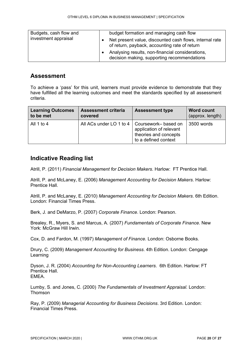| Budgets, cash flow and | budget formation and managing cash flow                                                                  |
|------------------------|----------------------------------------------------------------------------------------------------------|
| investment appraisal   | Net present value, discounted cash flows, internal rate<br>of return, payback, accounting rate of return |
|                        | Analysing results, non-financial considerations,<br>decision making, supporting recommendations          |

#### **Assessment**

To achieve a 'pass' for this unit, learners must provide evidence to demonstrate that they have fulfilled all the learning outcomes and meet the standards specified by all assessment criteria.

| <b>Learning Outcomes</b> | <b>Assessment criteria</b>                     | <b>Assessment type</b>                                                   | <b>Word count</b> |
|--------------------------|------------------------------------------------|--------------------------------------------------------------------------|-------------------|
| to be met                | covered                                        |                                                                          | (approx. length)  |
| All 1 to 4               | All ACs under LO 1 to 4   Coursework- based on | application of relevant<br>theories and concepts<br>to a defined context | 3500 words        |

#### **Indicative Reading list**

Atrill, P. (2011) *Financial Management for Decision Makers*. Harlow: FT Prentice Hall.

Atrill, P. and McLaney, E. (2006) *Management Accounting for Decision Makers*. Harlow: Prentice Hall.

Atrill, P. and McLaney, E. (2010) *Management Accounting for Decision Makers*. 6th Edition. London: Financial Times Press.

Berk, J. and DeMarzo, P. (2007) *Corporate Finance*. London: Pearson.

Brealey, R., Myers, S. and Marcus, A. (2007) *Fundamentals of Corporate Finance*. New York: McGraw Hill Irwin.

Cox, D. and Fardon, M. (1997) *Management of Finance.* London: Osborne Books.

Drury, C. (2009) *Management Accounting for Business*. 4th Edition. London: Cengage Learning

Dyson, J. R. (2004) *Accounting for Non-Accounting Learners*. 6th Edition. Harlow: FT Prentice Hall. EMEA.

Lumby, S. and Jones, C. (2000) *The Fundamentals of Investment Appraisal.* London: Thomson

Ray, P. (2009) *Managerial Accounting for Business Decisions*. 3rd Edition. London: Financial Times Press.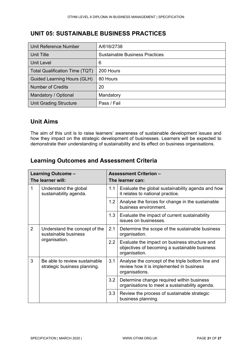#### <span id="page-20-0"></span>**UNIT 05: SUSTAINABLE BUSINESS PRACTICES**

| Unit Reference Number              | A/616/2738                            |
|------------------------------------|---------------------------------------|
| Unit Title                         | <b>Sustainable Business Practices</b> |
| <b>Unit Level</b>                  | 6                                     |
| Total Qualification Time (TQT)     | 200 Hours                             |
| <b>Guided Learning Hours (GLH)</b> | 80 Hours                              |
| <b>Number of Credits</b>           | 20                                    |
| Mandatory / Optional               | Mandatory                             |
| <b>Unit Grading Structure</b>      | Pass / Fail                           |

#### **Unit Aims**

The aim of this unit is to raise learners' awareness of sustainable development issues and how they impact on the strategic development of businesses. Learners will be expected to demonstrate their understanding of sustainability and its effect on business organisations.

| Learning Outcome -<br>The learner will: |                                                                        | <b>Assessment Criterion -</b><br>The learner can: |                                                                                                                 |
|-----------------------------------------|------------------------------------------------------------------------|---------------------------------------------------|-----------------------------------------------------------------------------------------------------------------|
| 1                                       | Understand the global<br>sustainability agenda.                        | 1.1                                               | Evaluate the global sustainability agenda and how<br>it relates to national practice.                           |
|                                         |                                                                        | 1.2                                               | Analyse the forces for change in the sustainable<br>business environment.                                       |
|                                         |                                                                        | 1.3                                               | Evaluate the impact of current sustainability<br>issues on businesses.                                          |
| 2                                       | Understand the concept of the<br>sustainable business<br>organisation. | 2.1                                               | Determine the scope of the sustainable business<br>organisation.                                                |
|                                         |                                                                        | 2.2                                               | Evaluate the impact on business structure and<br>objectives of becoming a sustainable business<br>organisation. |
| 3                                       | Be able to review sustainable<br>strategic business planning.          | 3.1                                               | Analyse the concept of the triple bottom line and<br>review how it is implemented in business<br>organisations. |
|                                         |                                                                        | 3.2                                               | Determine change required within business<br>organisations to meet a sustainability agenda.                     |
|                                         |                                                                        | 3.3                                               | Review the process of sustainable strategic<br>business planning.                                               |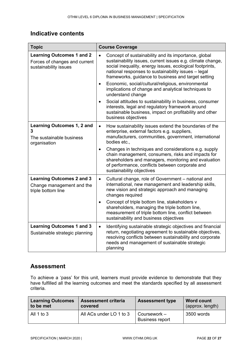| <b>Topic</b>                                                                               | <b>Course Coverage</b>                                                                                                                                                                                                                                                                                    |  |  |  |
|--------------------------------------------------------------------------------------------|-----------------------------------------------------------------------------------------------------------------------------------------------------------------------------------------------------------------------------------------------------------------------------------------------------------|--|--|--|
| <b>Learning Outcomes 1 and 2</b><br>Forces of changes and current<br>sustainability issues | Concept of sustainability and its importance, global<br>$\bullet$<br>sustainability issues, current issues e.g. climate change,<br>social inequality, energy issues, ecological footprints,<br>national responses to sustainability issues - legal<br>frameworks, guidance to business and target setting |  |  |  |
|                                                                                            | Economic, social/cultural/religious, environmental<br>$\bullet$<br>implications of change and analytical techniques to<br>understand change                                                                                                                                                               |  |  |  |
|                                                                                            | Social attitudes to sustainability in business, consumer<br>interests, legal and regulatory framework around<br>sustainable business, impact on profitability and other<br>business objectives                                                                                                            |  |  |  |
| <b>Learning Outcomes 1, 2 and</b><br>3<br>The sustainable business<br>organisation         | How sustainability issues extend the boundaries of the<br>$\bullet$<br>enterprise, external factors e.g. suppliers,<br>manufacturers, communities, government, international<br>bodies etc.,                                                                                                              |  |  |  |
|                                                                                            | Changes in techniques and considerations e.g. supply<br>$\bullet$<br>chain management, consumers, risks and impacts for<br>shareholders and managers, monitoring and evaluation<br>of performance, conflicts between corporate and<br>sustainability objectives                                           |  |  |  |
| <b>Learning Outcomes 2 and 3</b><br>Change management and the<br>triple bottom line        | Cultural change, role of Government - national and<br>$\bullet$<br>international, new management and leadership skills,<br>new vision and strategic approach and managing<br>changes required                                                                                                             |  |  |  |
|                                                                                            | Concept of triple bottom line, stakeholders v<br>$\bullet$<br>shareholders, managing the triple bottom line,<br>measurement of triple bottom line, conflict between<br>sustainability and business objectives                                                                                             |  |  |  |
| <b>Learning Outcomes 1 and 3</b><br>Sustainable strategic planning                         | Identifying sustainable strategic objectives and financial<br>$\bullet$<br>return, negotiating agreement to sustainable objectives,<br>resolving conflicts between sustainability and corporate<br>needs and management of sustainable strategic<br>planning                                              |  |  |  |

#### **Assessment**

To achieve a 'pass' for this unit, learners must provide evidence to demonstrate that they have fulfilled all the learning outcomes and meet the standards specified by all assessment criteria.

| <b>Learning Outcomes</b><br><b>Assessment criteria</b><br>to be met<br>covered |                         | <b>Assessment type</b>                 | <b>Word count</b><br>(approx. length) |
|--------------------------------------------------------------------------------|-------------------------|----------------------------------------|---------------------------------------|
| All 1 to $3$                                                                   | All ACs under LO 1 to 3 | Coursework –<br><b>Business report</b> | 3500 words                            |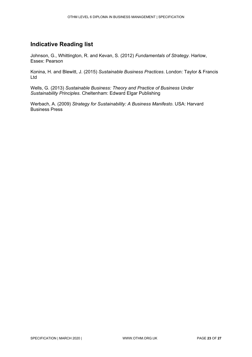#### **Indicative Reading list**

Johnson, G., Whittington, R. and Kevan, S. (2012) *Fundamentals of Strategy*. Harlow, Essex: Pearson

Konina, H. and Blewitt, J. (2015) *Sustainable Business Practices*. London: Taylor & Francis Ltd

Wells, G. (2013) *Sustainable Business: Theory and Practice of Business Under Sustainability Principles.* Cheltenham: Edward Elgar Publishing

Werbach, A. (2009) *Strategy for Sustainability: A Business Manifesto*. USA: Harvard Business Press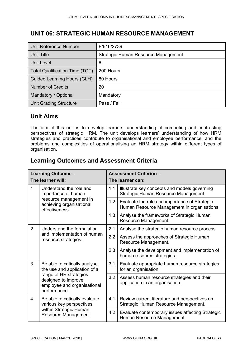#### <span id="page-23-0"></span>**UNIT 06: STRATEGIC HUMAN RESOURCE MANAGEMENT**

| Unit Reference Number          | F/616/2739                          |
|--------------------------------|-------------------------------------|
| Unit Title                     | Strategic Human Resource Management |
| Unit Level                     | 6                                   |
| Total Qualification Time (TQT) | 200 Hours                           |
| Guided Learning Hours (GLH)    | 80 Hours                            |
| <b>Number of Credits</b>       | 20                                  |
| Mandatory / Optional           | Mandatory                           |
| <b>Unit Grading Structure</b>  | Pass / Fail                         |

#### **Unit Aims**

The aim of this unit is to develop learners' understanding of competing and contrasting perspectives of strategic HRM. The unit develops learners' understanding of how HRM strategies and practices contribute to organisational and employee performance, and the problems and complexities of operationalising an HRM strategy within different types of organisation.

| Learning Outcome -<br>The learner will:                                                                   |                                                               | <b>Assessment Criterion -</b><br>The learner can:                             |                                                                                              |
|-----------------------------------------------------------------------------------------------------------|---------------------------------------------------------------|-------------------------------------------------------------------------------|----------------------------------------------------------------------------------------------|
| 1<br>Understand the role and<br>importance of human<br>resource management in<br>achieving organisational |                                                               | 1.1                                                                           | Illustrate key concepts and models governing<br>Strategic Human Resource Management.         |
|                                                                                                           | effectiveness.                                                | 1.2                                                                           | Evaluate the role and importance of Strategic<br>Human Resource Management in organisations. |
|                                                                                                           |                                                               | 1.3                                                                           | Analyse the frameworks of Strategic Human<br>Resource Management.                            |
| 2                                                                                                         | Understand the formulation                                    | 2.1                                                                           | Analyse the strategic human resource process.                                                |
|                                                                                                           | and implementation of human<br>resource strategies.           | 2.2                                                                           | Assess the approaches of Strategic Human<br>Resource Management.                             |
|                                                                                                           |                                                               |                                                                               | Analyse the development and implementation of<br>human resource strategies.                  |
| 3                                                                                                         | Be able to critically analyse<br>the use and application of a | 3.1                                                                           | Evaluate appropriate human resource strategies<br>for an organisation.                       |
| range of HR strategies<br>designed to improve<br>employee and organisational<br>performance.              | 3.2                                                           | Assess human resource strategies and their<br>application in an organisation. |                                                                                              |
| $\overline{4}$                                                                                            | Be able to critically evaluate<br>various key perspectives    | 4.1                                                                           | Review current literature and perspectives on<br>Strategic Human Resource Management.        |
|                                                                                                           | within Strategic Human<br>Resource Management.                | 4.2                                                                           | Evaluate contemporary issues affecting Strategic<br>Human Resource Management.               |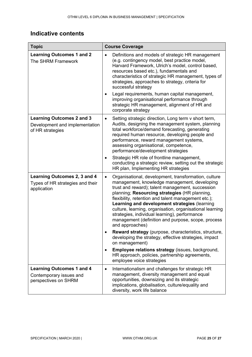| <b>Topic</b>                                                                           | <b>Course Coverage</b>                                                                                                                                                                                                                                                                                                                                                                                                                                                                                               |  |
|----------------------------------------------------------------------------------------|----------------------------------------------------------------------------------------------------------------------------------------------------------------------------------------------------------------------------------------------------------------------------------------------------------------------------------------------------------------------------------------------------------------------------------------------------------------------------------------------------------------------|--|
| <b>Learning Outcomes 1 and 2</b><br>The SHRM Framework                                 | Definitions and models of strategic HR management<br>$\bullet$<br>(e.g. contingency model, best practice model,<br>Harvard Framework, Ulrich's model, control based,<br>resources based etc.), fundamentals and<br>characteristics of strategic HR management, types of<br>strategies, approaches to strategy, criteria for<br>successful strategy                                                                                                                                                                   |  |
|                                                                                        | Legal requirements, human capital management,<br>٠<br>improving organisational performance through<br>strategic HR management, alignment of HR and<br>corporate strategy                                                                                                                                                                                                                                                                                                                                             |  |
| <b>Learning Outcomes 2 and 3</b><br>Development and implementation<br>of HR strategies | Setting strategic direction, Long term v short term,<br>$\bullet$<br>Audits, designing the management system, planning<br>total workforce/demand forecasting, generating<br>required human resource, developing people and<br>performance, reward management systems,<br>assessing organisational, competence,<br>performance/development strategies<br>Strategic HR role of frontline management,<br>٠<br>conducting a strategic review, setting out the strategic                                                  |  |
|                                                                                        | HR plan, Implementing HR strategies                                                                                                                                                                                                                                                                                                                                                                                                                                                                                  |  |
| Learning Outcomes 2, 3 and 4<br>Types of HR strategies and their<br>application        | Organisational, development, transformation, culture<br>$\bullet$<br>management, knowledge management, developing<br>trust and reward); talent management, succession<br>planning; Resourcing strategies (HR planning,<br>flexibility, retention and talent management etc.);<br>Learning and development strategies (learning<br>culture, learning, organisation, organisational learning<br>strategies, individual learning), performance<br>management (definition and purpose, scope, process<br>and approaches) |  |
|                                                                                        | Reward strategy (purpose, characteristics, structure,<br>developing the strategy, effective strategies, impact<br>on management)                                                                                                                                                                                                                                                                                                                                                                                     |  |
|                                                                                        | Employee relations strategy (issues, background,<br>$\bullet$<br>HR approach, policies, partnership agreements,<br>employee voice strategies                                                                                                                                                                                                                                                                                                                                                                         |  |
| <b>Learning Outcomes 1 and 4</b><br>Contemporary issues and<br>perspectives on SHRM    | Internationalism and challenges for strategic HR<br>$\bullet$<br>management, diversity management and equal<br>opportunities, downsizing and its strategic<br>implications, globalisation, culture/equality and<br>diversity, work life balance                                                                                                                                                                                                                                                                      |  |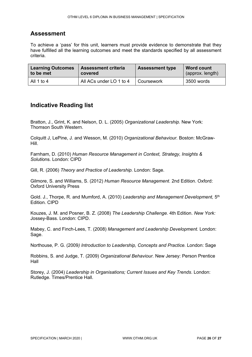#### **Assessment**

To achieve a 'pass' for this unit, learners must provide evidence to demonstrate that they have fulfilled all the learning outcomes and meet the standards specified by all assessment criteria.

| <b>Learning Outcomes</b> | <b>Assessment criteria</b> | <b>Assessment type</b> | <b>Word count</b> |
|--------------------------|----------------------------|------------------------|-------------------|
| to be met                | covered                    |                        | (approx. length)  |
| All 1 to 4               | All ACs under LO 1 to 4    | Coursework             | 3500 words        |

#### **Indicative Reading list**

Bratton, J., Grint, K. and Nelson, D. L. (2005) *Organizational Leadership.* New York: Thomson South Western.

Colquitt J, LePine, J. and Wesson, M. (2010) *Organizational Behaviour.* Boston: McGraw-Hill.

Farnham, D. (2010) *Human Resource Management in Context, Strategy, Insights & Soluti*ons. London: CIPD

Gill, R. (2006) *Theory and Practice of Leadership.* London: Sage.

Gilmore, S. and Williams, S. (2012) *Human Resource Management*. 2nd Edition. Oxford: Oxford University Press

Gold. J., Thorpe, R. and Mumford, A. (2010) *Leadership and Management Development,* 5th Edition. CIPD

Kouzes, J. M. and Posner, B. Z. (2008) *The Leadership Challenge.* 4th Edition. *New York:*  Jossey-Bass. London: CIPD.

Mabey, C. and Finch-Lees, T. (2008) *Management and Leadership Development.* London: Sage.

Northouse, P. G. (2009*) Introduction to Leadership, Concepts and Practice.* London: Sage

Robbins, S. and Judge, T. (2009) *Organizational Behaviour.* New Jersey: Person Prentice Hall

Storey, J. (2004) *Leadership in Organisations; Current Issues and Key Trends*. London: Rutledge. Times/Prentice Hall.